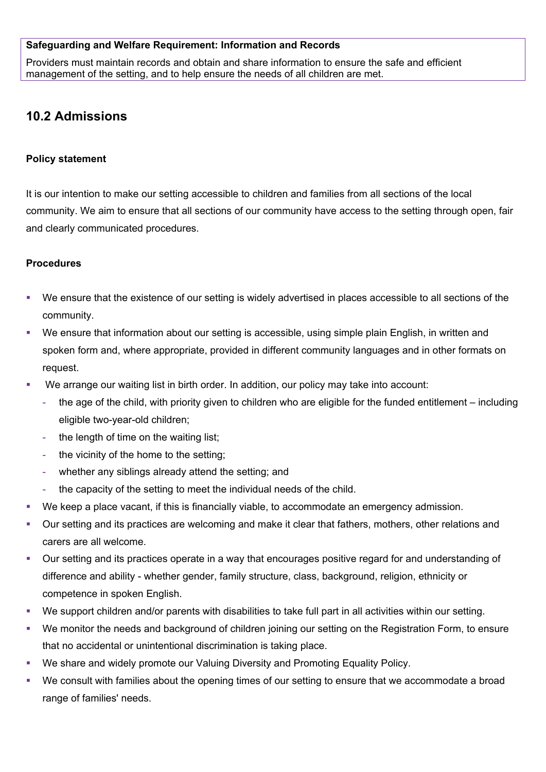#### **Safeguarding and Welfare Requirement: Information and Records**

Providers must maintain records and obtain and share information to ensure the safe and efficient management of the setting, and to help ensure the needs of all children are met.

# **10.2 Admissions**

### **Policy statement**

It is our intention to make our setting accessible to children and families from all sections of the local community. We aim to ensure that all sections of our community have access to the setting through open, fair and clearly communicated procedures.

### **Procedures**

- We ensure that the existence of our setting is widely advertised in places accessible to all sections of the community.
- We ensure that information about our setting is accessible, using simple plain English, in written and spoken form and, where appropriate, provided in different community languages and in other formats on request.
- We arrange our waiting list in birth order. In addition, our policy may take into account:
	- the age of the child, with priority given to children who are eligible for the funded entitlement including eligible two-year-old children;
	- the length of time on the waiting list;
	- the vicinity of the home to the setting;
	- whether any siblings already attend the setting; and
	- the capacity of the setting to meet the individual needs of the child.
- We keep a place vacant, if this is financially viable, to accommodate an emergency admission.
- Our setting and its practices are welcoming and make it clear that fathers, mothers, other relations and carers are all welcome.
- Our setting and its practices operate in a way that encourages positive regard for and understanding of difference and ability - whether gender, family structure, class, background, religion, ethnicity or competence in spoken English.
- We support children and/or parents with disabilities to take full part in all activities within our setting.
- We monitor the needs and background of children joining our setting on the Registration Form, to ensure that no accidental or unintentional discrimination is taking place.
- We share and widely promote our Valuing Diversity and Promoting Equality Policy.
- We consult with families about the opening times of our setting to ensure that we accommodate a broad range of families' needs.